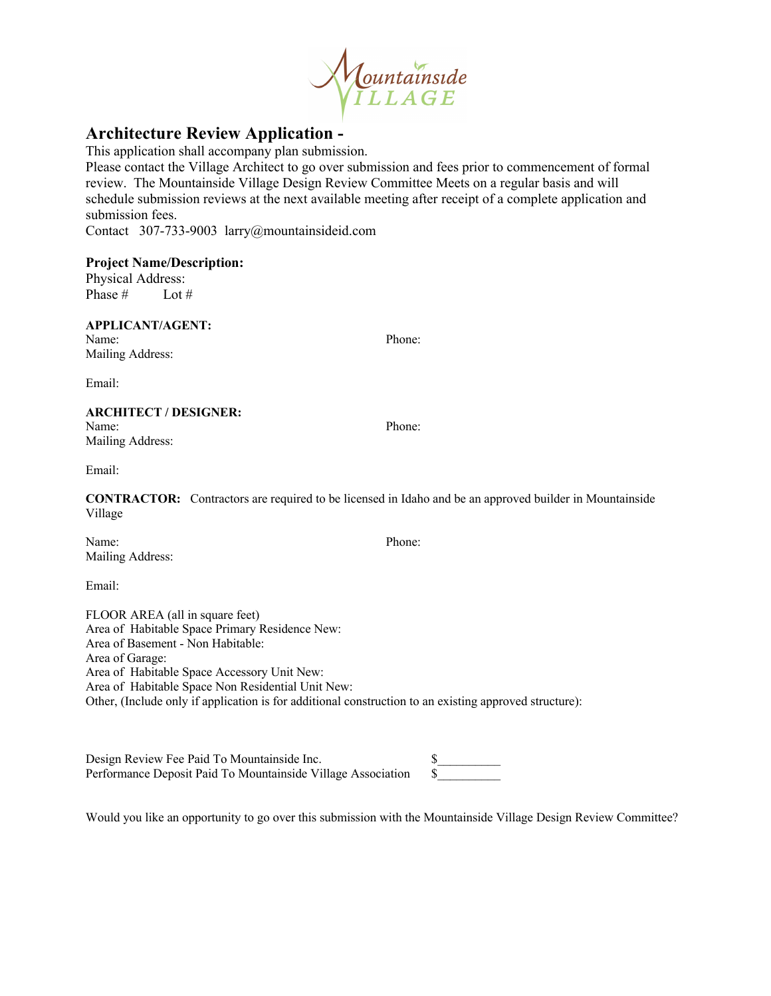

## **Architecture Review Application -**

This application shall accompany plan submission.

Please contact the Village Architect to go over submission and fees prior to commencement of formal review. The Mountainside Village Design Review Committee Meets on a regular basis and will schedule submission reviews at the next available meeting after receipt of a complete application and submission fees.

Contact 307-733-9003 larry@mountainsideid.com

#### **Project Name/Description:**

Physical Address: Phase # Lot #

#### **APPLICANT/AGENT:**

Name: Phone: Mailing Address:

Email:

## **ARCHITECT / DESIGNER:**

Name: Phone: Mailing Address:

Email:

**CONTRACTOR:** Contractors are required to be licensed in Idaho and be an approved builder in Mountainside Village

Name: Phone: Mailing Address:

Email:

FLOOR AREA (all in square feet) Area of Habitable Space Primary Residence New: Area of Basement - Non Habitable: Area of Garage: Area of Habitable Space Accessory Unit New: Area of Habitable Space Non Residential Unit New: Other, (Include only if application is for additional construction to an existing approved structure):

Design Review Fee Paid To Mountainside Inc. \$<br>Performance Deposit Paid To Mountainside Village Association \$ Performance Deposit Paid To Mountainside Village Association

Would you like an opportunity to go over this submission with the Mountainside Village Design Review Committee?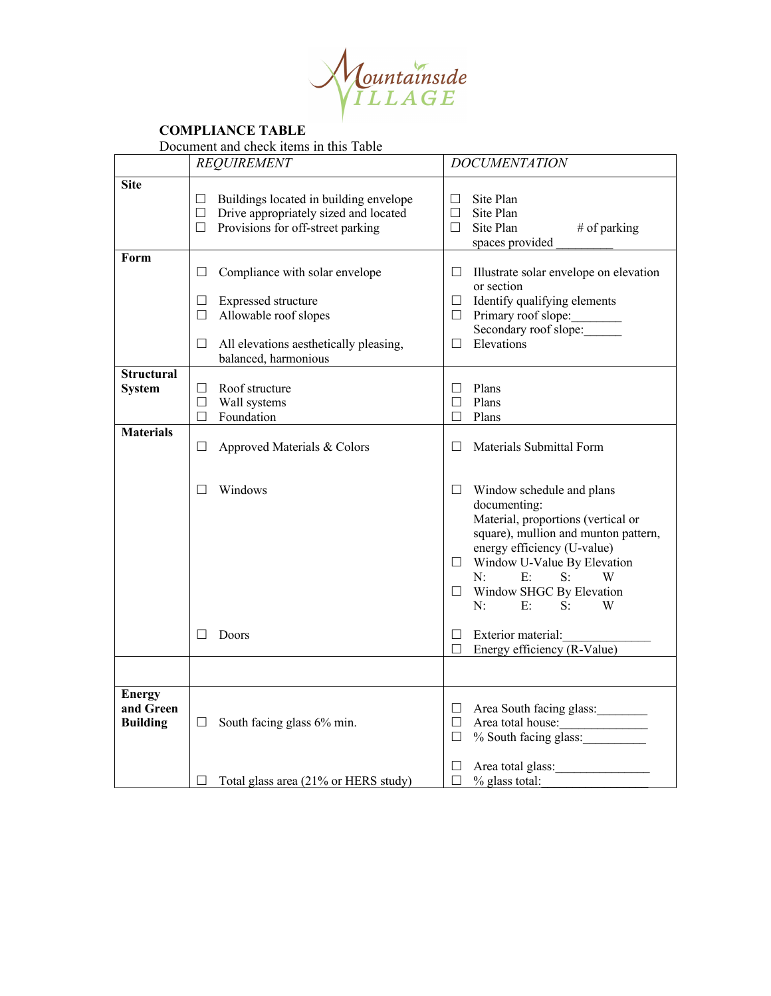

### **COMPLIANCE TABLE**

Document and check items in this Table

|                                               | <b>REQUIREMENT</b>                                                                                                                                                        | <b>DOCUMENTATION</b>                                                                                                                                                                                                                                                                          |
|-----------------------------------------------|---------------------------------------------------------------------------------------------------------------------------------------------------------------------------|-----------------------------------------------------------------------------------------------------------------------------------------------------------------------------------------------------------------------------------------------------------------------------------------------|
| <b>Site</b>                                   | Buildings located in building envelope<br>ш<br>Drive appropriately sized and located<br>$\Box$<br>$\Box$<br>Provisions for off-street parking                             | Site Plan<br>П<br>Site Plan<br>□<br>$\Box$<br>Site Plan<br># of parking<br>spaces provided                                                                                                                                                                                                    |
| Form                                          | Compliance with solar envelope<br>П<br>Expressed structure<br>Ш<br>Allowable roof slopes<br>□<br>All elevations aesthetically pleasing,<br>$\Box$<br>balanced, harmonious | Illustrate solar envelope on elevation<br>ш<br>or section<br>Identify qualifying elements<br>$\Box$<br>Primary roof slope:<br>$\Box$<br>Secondary roof slope:<br>Elevations<br>□                                                                                                              |
| <b>Structural</b><br><b>System</b>            | Roof structure<br>Ш<br>$\Box$<br>Wall systems<br>Foundation<br>$\Box$                                                                                                     | Plans<br>$\perp$<br>Plans<br>П<br>Plans<br>П                                                                                                                                                                                                                                                  |
| <b>Materials</b>                              | □<br>Approved Materials & Colors                                                                                                                                          | Materials Submittal Form<br>П                                                                                                                                                                                                                                                                 |
|                                               | Windows<br>Ш                                                                                                                                                              | Window schedule and plans<br>ш<br>documenting:<br>Material, proportions (vertical or<br>square), mullion and munton pattern,<br>energy efficiency (U-value)<br>Window U-Value By Elevation<br>⊔.<br>E:<br>N:<br>S:<br>W<br>Window SHGC By Elevation<br>$\Box$<br>N:<br>E:<br>$S^{\cdot}$<br>W |
|                                               | Doors                                                                                                                                                                     | Exterior material:<br>П<br>Energy efficiency (R-Value)<br>□                                                                                                                                                                                                                                   |
|                                               |                                                                                                                                                                           |                                                                                                                                                                                                                                                                                               |
| <b>Energy</b><br>and Green<br><b>Building</b> | South facing glass 6% min.<br>ப                                                                                                                                           | Area South facing glass:<br>⊔<br>$\Box$<br>Area total house:<br>% South facing glass:<br>$\Box$                                                                                                                                                                                               |
|                                               | Total glass area (21% or HERS study)<br>ப                                                                                                                                 | Area total glass:<br>ப<br>$\Box$<br>% glass total:                                                                                                                                                                                                                                            |